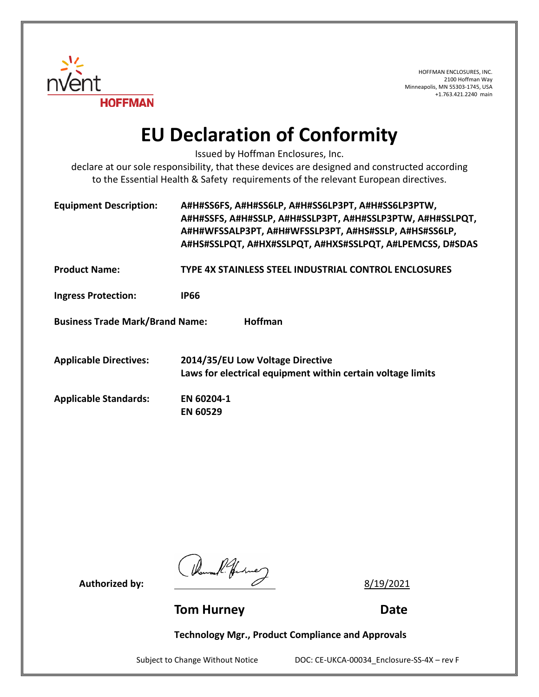

HOFFMAN ENCLOSURES, INC. 2100 Hoffman Way Minneapolis, MN 55303-1745, USA +1.763.421.2240 main

## **EU Declaration of Conformity**

Issued by Hoffman Enclosures, Inc.

declare at our sole responsibility, that these devices are designed and constructed according to the Essential Health & Safety requirements of the relevant European directives.

| <b>Equipment Description:</b>                            | A#H#SS6FS, A#H#SS6LP, A#H#SS6LP3PT, A#H#SS6LP3PTW,<br>A#H#SSFS, A#H#SSLP, A#H#SSLP3PT, A#H#SSLP3PTW, A#H#SSLPQT,<br>A#H#WFSSALP3PT, A#H#WFSSLP3PT, A#HS#SSLP, A#HS#SS6LP,<br>A#HS#SSLPQT, A#HX#SSLPQT, A#HXS#SSLPQT, A#LPEMCSS, D#SDAS |  |
|----------------------------------------------------------|----------------------------------------------------------------------------------------------------------------------------------------------------------------------------------------------------------------------------------------|--|
| <b>Product Name:</b>                                     | <b>TYPE 4X STAINLESS STEEL INDUSTRIAL CONTROL ENCLOSURES</b>                                                                                                                                                                           |  |
| <b>Ingress Protection:</b>                               | <b>IP66</b>                                                                                                                                                                                                                            |  |
| <b>Hoffman</b><br><b>Business Trade Mark/Brand Name:</b> |                                                                                                                                                                                                                                        |  |
| <b>Applicable Directives:</b>                            | 2014/35/EU Low Voltage Directive<br>Laws for electrical equipment within certain voltage limits                                                                                                                                        |  |
| <b>Applicable Standards:</b>                             | EN 60204-1<br><b>EN 60529</b>                                                                                                                                                                                                          |  |

Authorized by:  $\frac{14}{4}$  for the 2<br>**Authorized by:** <u>8/19/2021</u>

**Tom Hurney Communication Communication Communication Communication Communication Communication Communication Communication Communication Communication Communication Communication Communication Communication Communication** 

**Technology Mgr., Product Compliance and Approvals**

Subject to Change Without Notice DOC: CE-UKCA-00034\_Enclosure-SS-4X - rev F